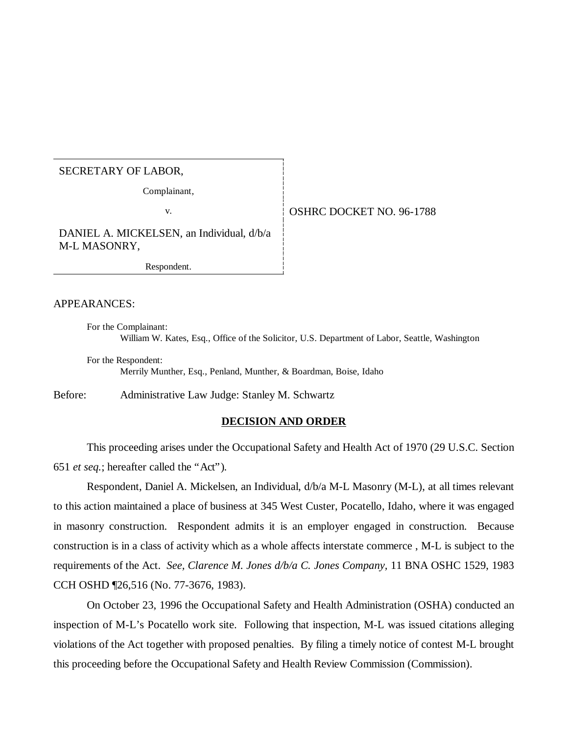#### SECRETARY OF LABOR,

Complainant,

## v. **CONFIDENT OF STATE OF STATE OF STATE OF STATE OF STATE OF STATE OF STATE OF STATE OF STATE OF STATE OF STATE OF STATE OF STATE OF STATE OF STATE OF STATE OF STATE OF STATE OF STATE OF STATE OF STATE OF STATE OF STATE O**

DANIEL A. MICKELSEN, an Individual, d/b/a M-L MASONRY,

Respondent.

#### APPEARANCES:

For the Complainant: William W. Kates, Esq., Office of the Solicitor, U.S. Department of Labor, Seattle, Washington

For the Respondent: Merrily Munther, Esq., Penland, Munther, & Boardman, Boise, Idaho

Before: Administrative Law Judge: Stanley M. Schwartz

#### **DECISION AND ORDER**

This proceeding arises under the Occupational Safety and Health Act of 1970 (29 U.S.C. Section 651 *et seq.*; hereafter called the "Act").

Respondent, Daniel A. Mickelsen, an Individual, d/b/a M-L Masonry (M-L), at all times relevant to this action maintained a place of business at 345 West Custer, Pocatello, Idaho, where it was engaged in masonry construction. Respondent admits it is an employer engaged in construction. Because construction is in a class of activity which as a whole affects interstate commerce , M-L is subject to the requirements of the Act. *See, Clarence M. Jones d/b/a C. Jones Company,* 11 BNA OSHC 1529, 1983 CCH OSHD ¶26,516 (No. 77-3676, 1983).

On October 23, 1996 the Occupational Safety and Health Administration (OSHA) conducted an inspection of M-L's Pocatello work site. Following that inspection, M-L was issued citations alleging violations of the Act together with proposed penalties. By filing a timely notice of contest M-L brought this proceeding before the Occupational Safety and Health Review Commission (Commission).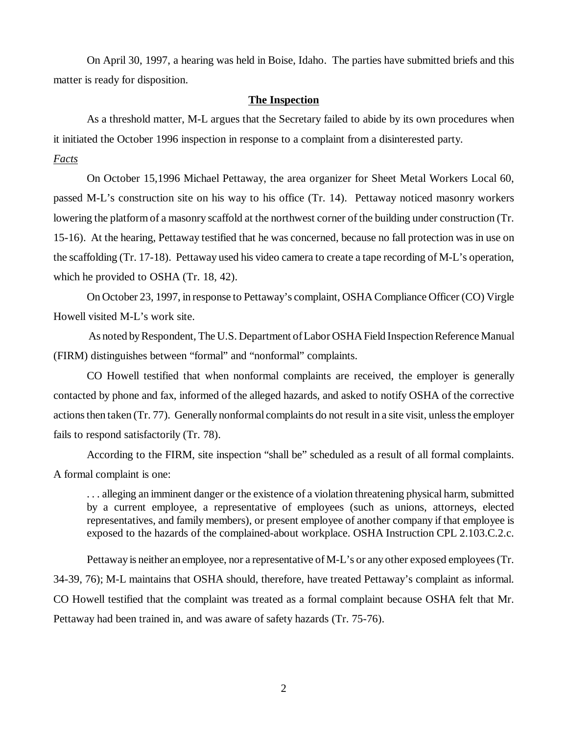On April 30, 1997, a hearing was held in Boise, Idaho. The parties have submitted briefs and this matter is ready for disposition.

#### **The Inspection**

As a threshold matter, M-L argues that the Secretary failed to abide by its own procedures when it initiated the October 1996 inspection in response to a complaint from a disinterested party.

#### *Facts*

On October 15,1996 Michael Pettaway, the area organizer for Sheet Metal Workers Local 60, passed M-L's construction site on his way to his office (Tr. 14). Pettaway noticed masonry workers lowering the platform of a masonry scaffold at the northwest corner of the building under construction (Tr. 15-16). At the hearing, Pettaway testified that he was concerned, because no fall protection was in use on the scaffolding (Tr. 17-18). Pettaway used his video camera to create a tape recording of M-L's operation, which he provided to OSHA (Tr. 18, 42).

On October 23, 1997, in response to Pettaway's complaint, OSHA Compliance Officer (CO) Virgle Howell visited M-L's work site.

 As noted by Respondent, The U.S. Department of Labor OSHA Field Inspection Reference Manual (FIRM) distinguishes between "formal" and "nonformal" complaints.

CO Howell testified that when nonformal complaints are received, the employer is generally contacted by phone and fax, informed of the alleged hazards, and asked to notify OSHA of the corrective actions then taken (Tr. 77). Generally nonformal complaints do not result in a site visit, unless the employer fails to respond satisfactorily (Tr. 78).

According to the FIRM, site inspection "shall be" scheduled as a result of all formal complaints. A formal complaint is one:

. . . alleging an imminent danger or the existence of a violation threatening physical harm, submitted by a current employee, a representative of employees (such as unions, attorneys, elected representatives, and family members), or present employee of another company if that employee is exposed to the hazards of the complained-about workplace. OSHA Instruction CPL 2.103.C.2.c.

Pettaway is neither an employee, nor a representative of M-L's or any other exposed employees (Tr. 34-39, 76); M-L maintains that OSHA should, therefore, have treated Pettaway's complaint as informal. CO Howell testified that the complaint was treated as a formal complaint because OSHA felt that Mr. Pettaway had been trained in, and was aware of safety hazards (Tr. 75-76).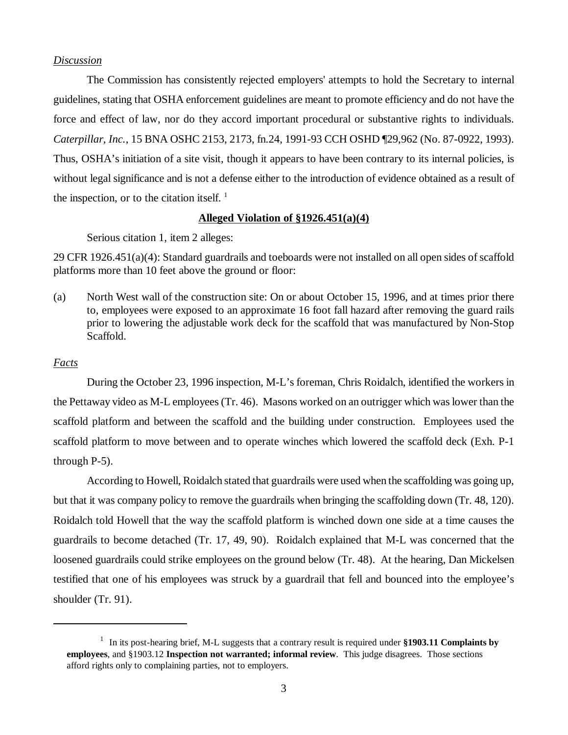## *Discussion*

The Commission has consistently rejected employers' attempts to hold the Secretary to internal guidelines, stating that OSHA enforcement guidelines are meant to promote efficiency and do not have the force and effect of law, nor do they accord important procedural or substantive rights to individuals. *Caterpillar, Inc.*, 15 BNA OSHC 2153, 2173, fn.24, 1991-93 CCH OSHD ¶29,962 (No. 87-0922, 1993). Thus, OSHA's initiation of a site visit, though it appears to have been contrary to its internal policies, is without legal significance and is not a defense either to the introduction of evidence obtained as a result of the inspection, or to the citation itself.  $\frac{1}{1}$ 

### **Alleged Violation of §1926.451(a)(4)**

Serious citation 1, item 2 alleges:

29 CFR 1926.451(a)(4): Standard guardrails and toeboards were not installed on all open sides of scaffold platforms more than 10 feet above the ground or floor:

(a) North West wall of the construction site: On or about October 15, 1996, and at times prior there to, employees were exposed to an approximate 16 foot fall hazard after removing the guard rails prior to lowering the adjustable work deck for the scaffold that was manufactured by Non-Stop Scaffold.

### *Facts*

During the October 23, 1996 inspection, M-L's foreman, Chris Roidalch, identified the workers in the Pettaway video as M-L employees (Tr. 46). Masons worked on an outrigger which was lower than the scaffold platform and between the scaffold and the building under construction. Employees used the scaffold platform to move between and to operate winches which lowered the scaffold deck (Exh. P-1 through P-5).

According to Howell, Roidalch stated that guardrails were used when the scaffolding was going up, but that it was company policy to remove the guardrails when bringing the scaffolding down (Tr. 48, 120). Roidalch told Howell that the way the scaffold platform is winched down one side at a time causes the guardrails to become detached (Tr. 17, 49, 90). Roidalch explained that M-L was concerned that the loosened guardrails could strike employees on the ground below (Tr. 48). At the hearing, Dan Mickelsen testified that one of his employees was struck by a guardrail that fell and bounced into the employee's shoulder (Tr. 91).

<sup>&</sup>lt;sup>1</sup> In its post-hearing brief, M-L suggests that a contrary result is required under \$1903.11 Complaints by **employees**, and §1903.12 **Inspection not warranted; informal review**. This judge disagrees. Those sections afford rights only to complaining parties, not to employers.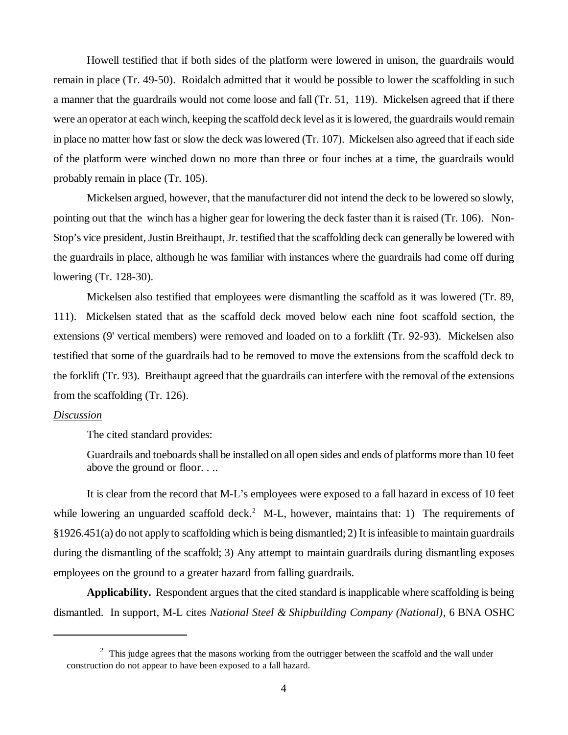Howell testified that if both sides of the platform were lowered in unison, the guardrails would remain in place (Tr. 49-50). Roidalch admitted that it would be possible to lower the scaffolding in such a manner that the guardrails would not come loose and fall (Tr. 51, 119). Mickelsen agreed that if there were an operator at each winch, keeping the scaffold deck level as it is lowered, the guardrails would remain in place no matter how fast or slow the deck was lowered (Tr. 107). Mickelsen also agreed that if each side of the platform were winched down no more than three or four inches at a time, the guardrails would probably remain in place (Tr. 105).

Mickelsen argued, however, that the manufacturer did not intend the deck to be lowered so slowly, pointing out that the winch has a higher gear for lowering the deck faster than it is raised (Tr. 106). Non-Stop's vice president, Justin Breithaupt, Jr. testified that the scaffolding deck can generally be lowered with the guardrails in place, although he was familiar with instances where the guardrails had come off during lowering (Tr. 128-30).

Mickelsen also testified that employees were dismantling the scaffold as it was lowered (Tr. 89, 111). Mickelsen stated that as the scaffold deck moved below each nine foot scaffold section, the extensions (9' vertical members) were removed and loaded on to a forklift (Tr. 92-93). Mickelsen also testified that some of the guardrails had to be removed to move the extensions from the scaffold deck to the forklift (Tr. 93). Breithaupt agreed that the guardrails can interfere with the removal of the extensions from the scaffolding (Tr. 126).

## *Discussion*

The cited standard provides:

Guardrails and toeboards shall be installed on all open sides and ends of platforms more than 10 feet above the ground or floor. . ..

It is clear from the record that M-L's employees were exposed to a fall hazard in excess of 10 feet while lowering an unguarded scaffold deck.<sup>2</sup> M-L, however, maintains that: 1) The requirements of §1926.451(a) do not apply to scaffolding which is being dismantled; 2) It is infeasible to maintain guardrails during the dismantling of the scaffold; 3) Any attempt to maintain guardrails during dismantling exposes employees on the ground to a greater hazard from falling guardrails.

**Applicability.** Respondent argues that the cited standard is inapplicable where scaffolding is being dismantled. In support, M-L cites *National Steel & Shipbuilding Company (National)*, 6 BNA OSHC

 $2$  This judge agrees that the masons working from the outrigger between the scaffold and the wall under construction do not appear to have been exposed to a fall hazard.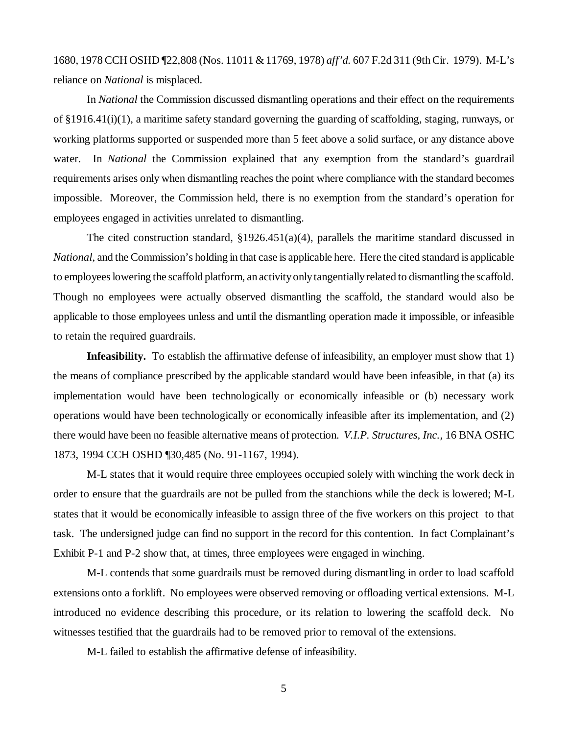1680, 1978 CCH OSHD ¶22,808 (Nos. 11011 & 11769, 1978) *aff'd.* 607 F.2d 311 (9th Cir. 1979). M-L's reliance on *National* is misplaced.

In *National* the Commission discussed dismantling operations and their effect on the requirements of §1916.41(i)(1), a maritime safety standard governing the guarding of scaffolding, staging, runways, or working platforms supported or suspended more than 5 feet above a solid surface, or any distance above water. In *National* the Commission explained that any exemption from the standard's guardrail requirements arises only when dismantling reaches the point where compliance with the standard becomes impossible. Moreover, the Commission held, there is no exemption from the standard's operation for employees engaged in activities unrelated to dismantling.

The cited construction standard,  $\S 1926.451(a)(4)$ , parallels the maritime standard discussed in *National*, and the Commission's holding in that case is applicable here. Here the cited standard is applicable to employees lowering the scaffold platform, an activity only tangentially related to dismantling the scaffold. Though no employees were actually observed dismantling the scaffold, the standard would also be applicable to those employees unless and until the dismantling operation made it impossible, or infeasible to retain the required guardrails.

**Infeasibility.** To establish the affirmative defense of infeasibility, an employer must show that 1) the means of compliance prescribed by the applicable standard would have been infeasible, in that (a) its implementation would have been technologically or economically infeasible or (b) necessary work operations would have been technologically or economically infeasible after its implementation, and (2) there would have been no feasible alternative means of protection. *V.I.P. Structures, Inc.,* 16 BNA OSHC 1873, 1994 CCH OSHD ¶30,485 (No. 91-1167, 1994).

M-L states that it would require three employees occupied solely with winching the work deck in order to ensure that the guardrails are not be pulled from the stanchions while the deck is lowered; M-L states that it would be economically infeasible to assign three of the five workers on this project to that task. The undersigned judge can find no support in the record for this contention. In fact Complainant's Exhibit P-1 and P-2 show that, at times, three employees were engaged in winching.

M-L contends that some guardrails must be removed during dismantling in order to load scaffold extensions onto a forklift. No employees were observed removing or offloading vertical extensions. M-L introduced no evidence describing this procedure, or its relation to lowering the scaffold deck. No witnesses testified that the guardrails had to be removed prior to removal of the extensions.

M-L failed to establish the affirmative defense of infeasibility.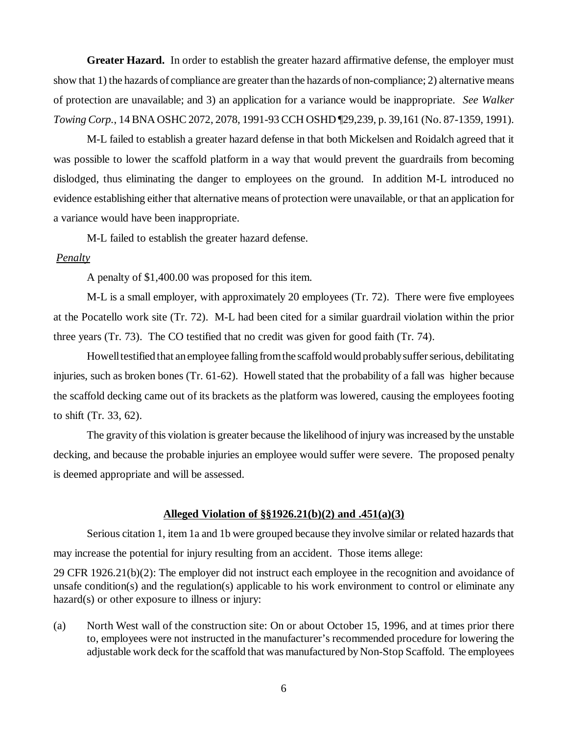**Greater Hazard.** In order to establish the greater hazard affirmative defense, the employer must show that 1) the hazards of compliance are greater than the hazards of non-compliance; 2) alternative means of protection are unavailable; and 3) an application for a variance would be inappropriate. *See Walker Towing Corp.*, 14 BNA OSHC 2072, 2078, 1991-93 CCH OSHD ¶29,239, p. 39,161 (No. 87-1359, 1991).

M-L failed to establish a greater hazard defense in that both Mickelsen and Roidalch agreed that it was possible to lower the scaffold platform in a way that would prevent the guardrails from becoming dislodged, thus eliminating the danger to employees on the ground. In addition M-L introduced no evidence establishing either that alternative means of protection were unavailable, or that an application for a variance would have been inappropriate.

M-L failed to establish the greater hazard defense.

#### *Penalty*

A penalty of \$1,400.00 was proposed for this item.

M-L is a small employer, with approximately 20 employees (Tr. 72). There were five employees at the Pocatello work site (Tr. 72). M-L had been cited for a similar guardrail violation within the prior three years (Tr. 73). The CO testified that no credit was given for good faith (Tr. 74).

Howell testified that an employee falling from the scaffold would probably suffer serious, debilitating injuries, such as broken bones (Tr. 61-62). Howell stated that the probability of a fall was higher because the scaffold decking came out of its brackets as the platform was lowered, causing the employees footing to shift (Tr. 33, 62).

The gravity of this violation is greater because the likelihood of injury was increased by the unstable decking, and because the probable injuries an employee would suffer were severe. The proposed penalty is deemed appropriate and will be assessed.

#### **Alleged Violation of §§1926.21(b)(2) and .451(a)(3)**

Serious citation 1, item 1a and 1b were grouped because they involve similar or related hazards that may increase the potential for injury resulting from an accident. Those items allege:

29 CFR 1926.21(b)(2): The employer did not instruct each employee in the recognition and avoidance of unsafe condition(s) and the regulation(s) applicable to his work environment to control or eliminate any hazard(s) or other exposure to illness or injury:

(a) North West wall of the construction site: On or about October 15, 1996, and at times prior there to, employees were not instructed in the manufacturer's recommended procedure for lowering the adjustable work deck for the scaffold that was manufactured by Non-Stop Scaffold. The employees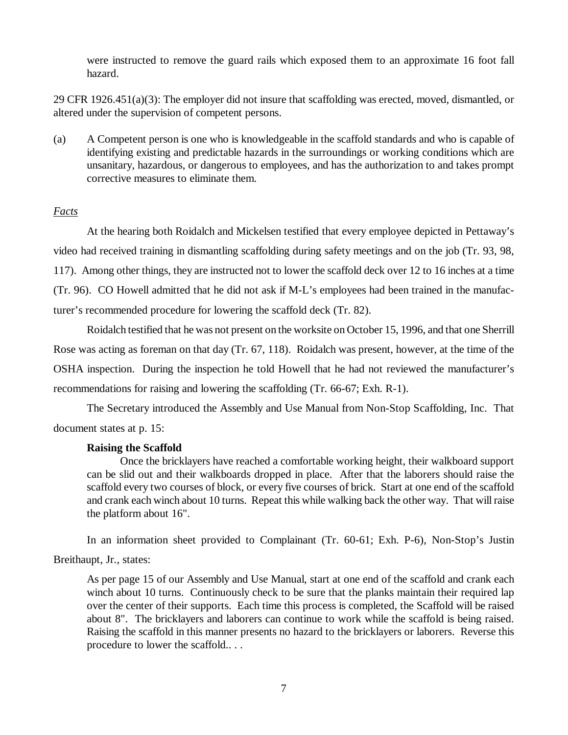were instructed to remove the guard rails which exposed them to an approximate 16 foot fall hazard.

29 CFR 1926.451(a)(3): The employer did not insure that scaffolding was erected, moved, dismantled, or altered under the supervision of competent persons.

(a) A Competent person is one who is knowledgeable in the scaffold standards and who is capable of identifying existing and predictable hazards in the surroundings or working conditions which are unsanitary, hazardous, or dangerous to employees, and has the authorization to and takes prompt corrective measures to eliminate them.

# *Facts*

At the hearing both Roidalch and Mickelsen testified that every employee depicted in Pettaway's video had received training in dismantling scaffolding during safety meetings and on the job (Tr. 93, 98, 117). Among other things, they are instructed not to lower the scaffold deck over 12 to 16 inches at a time (Tr. 96). CO Howell admitted that he did not ask if M-L's employees had been trained in the manufacturer's recommended procedure for lowering the scaffold deck (Tr. 82).

Roidalch testified that he was not present on the worksite on October 15, 1996, and that one Sherrill Rose was acting as foreman on that day (Tr. 67, 118). Roidalch was present, however, at the time of the OSHA inspection. During the inspection he told Howell that he had not reviewed the manufacturer's recommendations for raising and lowering the scaffolding (Tr. 66-67; Exh. R-1).

The Secretary introduced the Assembly and Use Manual from Non-Stop Scaffolding, Inc. That document states at p. 15:

## **Raising the Scaffold**

Once the bricklayers have reached a comfortable working height, their walkboard support can be slid out and their walkboards dropped in place. After that the laborers should raise the scaffold every two courses of block, or every five courses of brick. Start at one end of the scaffold and crank each winch about 10 turns. Repeat this while walking back the other way. That will raise the platform about 16".

In an information sheet provided to Complainant (Tr. 60-61; Exh. P-6), Non-Stop's Justin Breithaupt, Jr., states:

As per page 15 of our Assembly and Use Manual, start at one end of the scaffold and crank each winch about 10 turns. Continuously check to be sure that the planks maintain their required lap over the center of their supports. Each time this process is completed, the Scaffold will be raised about 8". The bricklayers and laborers can continue to work while the scaffold is being raised. Raising the scaffold in this manner presents no hazard to the bricklayers or laborers. Reverse this procedure to lower the scaffold.. . .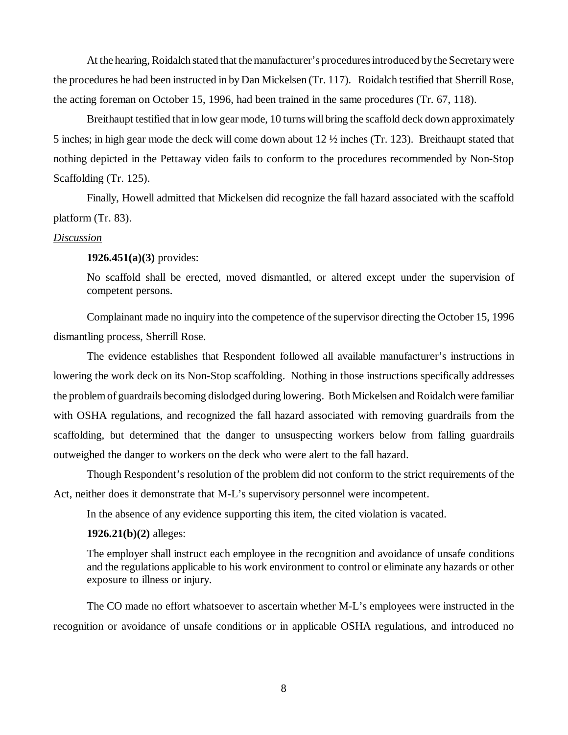At the hearing, Roidalch stated that the manufacturer's procedures introduced by the Secretary were the procedures he had been instructed in by Dan Mickelsen (Tr. 117). Roidalch testified that Sherrill Rose, the acting foreman on October 15, 1996, had been trained in the same procedures (Tr. 67, 118).

Breithaupt testified that in low gear mode, 10 turns will bring the scaffold deck down approximately 5 inches; in high gear mode the deck will come down about 12 ½ inches (Tr. 123). Breithaupt stated that nothing depicted in the Pettaway video fails to conform to the procedures recommended by Non-Stop Scaffolding (Tr. 125).

Finally, Howell admitted that Mickelsen did recognize the fall hazard associated with the scaffold platform (Tr. 83).

#### *Discussion*

**1926.451(a)(3)** provides:

No scaffold shall be erected, moved dismantled, or altered except under the supervision of competent persons.

Complainant made no inquiry into the competence of the supervisor directing the October 15, 1996 dismantling process, Sherrill Rose.

The evidence establishes that Respondent followed all available manufacturer's instructions in lowering the work deck on its Non-Stop scaffolding. Nothing in those instructions specifically addresses the problem of guardrails becoming dislodged during lowering. Both Mickelsen and Roidalch were familiar with OSHA regulations, and recognized the fall hazard associated with removing guardrails from the scaffolding, but determined that the danger to unsuspecting workers below from falling guardrails outweighed the danger to workers on the deck who were alert to the fall hazard.

Though Respondent's resolution of the problem did not conform to the strict requirements of the Act, neither does it demonstrate that M-L's supervisory personnel were incompetent.

In the absence of any evidence supporting this item, the cited violation is vacated.

**1926.21(b)(2)** alleges:

The employer shall instruct each employee in the recognition and avoidance of unsafe conditions and the regulations applicable to his work environment to control or eliminate any hazards or other exposure to illness or injury.

The CO made no effort whatsoever to ascertain whether M-L's employees were instructed in the recognition or avoidance of unsafe conditions or in applicable OSHA regulations, and introduced no